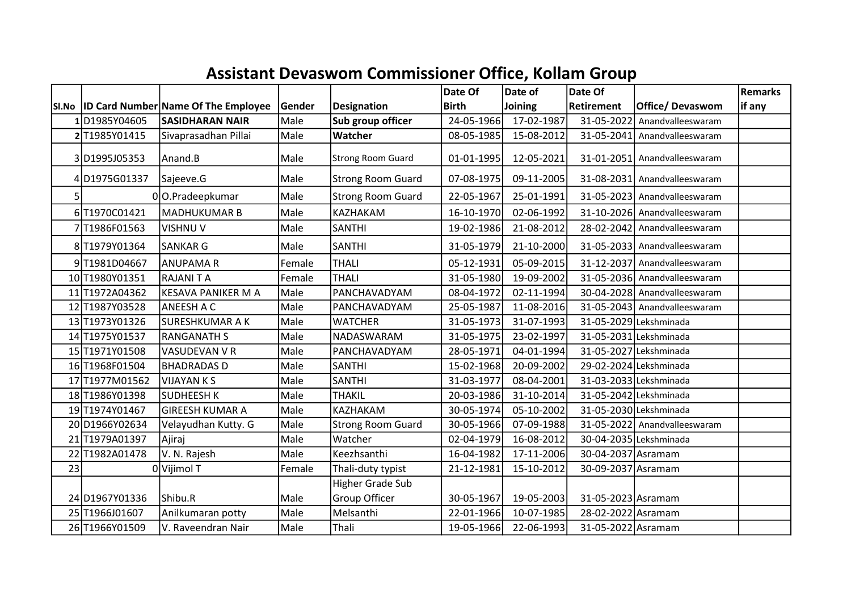## Assistant Devaswom Commissioner Office, Kollam Group

|    |                |                                            |        |                          | Date Of      | Date of    | Date Of            |                              | Remarks |
|----|----------------|--------------------------------------------|--------|--------------------------|--------------|------------|--------------------|------------------------------|---------|
|    |                | SI.No  ID Card Number Name Of The Employee | Gender | <b>Designation</b>       | <b>Birth</b> | Joining    | Retirement         | Office/Devaswom              | if any  |
|    | 1D1985Y04605   | <b>SASIDHARAN NAIR</b>                     | Male   | Sub group officer        | 24-05-1966   | 17-02-1987 | 31-05-2022         | Anandvalleeswaram            |         |
|    | 2 T1985Y01415  | Sivaprasadhan Pillai                       | Male   | Watcher                  | 08-05-1985   | 15-08-2012 |                    | 31-05-2041 Anandvalleeswaram |         |
|    | 3D1995J05353   | Anand.B                                    | Male   | Strong Room Guard        | 01-01-1995   | 12-05-2021 |                    | 31-01-2051 Anandvalleeswaram |         |
|    | 4D1975G01337   | Sajeeve.G                                  | Male   | <b>Strong Room Guard</b> | 07-08-1975   | 09-11-2005 |                    | 31-08-2031 Anandvalleeswaram |         |
| 5  |                | 00.Pradeepkumar                            | Male   | <b>Strong Room Guard</b> | 22-05-1967   | 25-01-1991 |                    | 31-05-2023 Anandvalleeswaram |         |
|    | 6T1970C01421   | MADHUKUMAR B                               | Male   | KAZHAKAM                 | 16-10-1970   | 02-06-1992 |                    | 31-10-2026 Anandvalleeswaram |         |
|    | 7 T1986F01563  | <b>VISHNU V</b>                            | Male   | <b>SANTHI</b>            | 19-02-1986   | 21-08-2012 |                    | 28-02-2042 Anandvalleeswaram |         |
|    | 8 T1979Y01364  | SANKAR G                                   | Male   | <b>SANTHI</b>            | 31-05-1979   | 21-10-2000 |                    | 31-05-2033 Anandvalleeswaram |         |
|    | 9T1981D04667   | <b>ANUPAMAR</b>                            | Female | <b>THALI</b>             | 05-12-1931   | 05-09-2015 |                    | 31-12-2037 Anandvalleeswaram |         |
|    | 10T1980Y01351  | <b>RAJANITA</b>                            | Female | <b>THALI</b>             | 31-05-1980   | 19-09-2002 |                    | 31-05-2036 Anandvalleeswaram |         |
| 11 | T1972A04362    | <b>KESAVA PANIKER M A</b>                  | Male   | PANCHAVADYAM             | 08-04-1972   | 02-11-1994 |                    | 30-04-2028 Anandvalleeswaram |         |
|    | 12 T1987Y03528 | <b>ANEESH A C</b>                          | Male   | PANCHAVADYAM             | 25-05-1987   | 11-08-2016 |                    | 31-05-2043 Anandvalleeswaram |         |
|    | 13 T1973Y01326 | <b>SURESHKUMAR A K</b>                     | Male   | <b>WATCHER</b>           | 31-05-1973   | 31-07-1993 |                    | 31-05-2029 Lekshminada       |         |
|    | 14 T1975Y01537 | <b>RANGANATH S</b>                         | Male   | NADASWARAM               | 31-05-1975   | 23-02-1997 |                    | 31-05-2031 Lekshminada       |         |
|    | 15 T1971Y01508 | VASUDEVAN V R                              | Male   | PANCHAVADYAM             | 28-05-1971   | 04-01-1994 |                    | 31-05-2027 Lekshminada       |         |
|    | 16 T1968F01504 | <b>BHADRADAS D</b>                         | Male   | <b>SANTHI</b>            | 15-02-1968   | 20-09-2002 |                    | 29-02-2024 Lekshminada       |         |
|    | 17 T1977M01562 | <b>VIJAYAN K S</b>                         | Male   | <b>SANTHI</b>            | 31-03-1977   | 08-04-2001 |                    | 31-03-2033 Lekshminada       |         |
|    | 18 T1986Y01398 | <b>SUDHEESH K</b>                          | Male   | <b>THAKIL</b>            | 20-03-1986   | 31-10-2014 |                    | 31-05-2042 Lekshminada       |         |
|    | 19T1974Y01467  | <b>GIREESH KUMAR A</b>                     | Male   | KAZHAKAM                 | 30-05-1974   | 05-10-2002 |                    | 31-05-2030 Lekshminada       |         |
|    | 20D1966Y02634  | Velayudhan Kutty. G                        | Male   | <b>Strong Room Guard</b> | 30-05-1966   | 07-09-1988 |                    | 31-05-2022 Anandvalleeswaram |         |
|    | 21 T1979A01397 | Ajiraj                                     | Male   | Watcher                  | 02-04-1979   | 16-08-2012 |                    | 30-04-2035 Lekshminada       |         |
|    | 22 T1982A01478 | V. N. Rajesh                               | Male   | Keezhsanthi              | 16-04-1982   | 17-11-2006 | 30-04-2037 Asramam |                              |         |
| 23 |                | 0Vijimol T                                 | Female | Thali-duty typist        | 21-12-1981   | 15-10-2012 | 30-09-2037 Asramam |                              |         |
|    |                |                                            |        | Higher Grade Sub         |              |            |                    |                              |         |
|    | 24 D1967Y01336 | Shibu.R                                    | Male   | Group Officer            | 30-05-1967   | 19-05-2003 | 31-05-2023 Asramam |                              |         |
|    | 25 T1966J01607 | Anilkumaran potty                          | Male   | Melsanthi                | 22-01-1966   | 10-07-1985 | 28-02-2022 Asramam |                              |         |
|    | 26 T1966Y01509 | V. Raveendran Nair                         | Male   | Thali                    | 19-05-1966   | 22-06-1993 | 31-05-2022 Asramam |                              |         |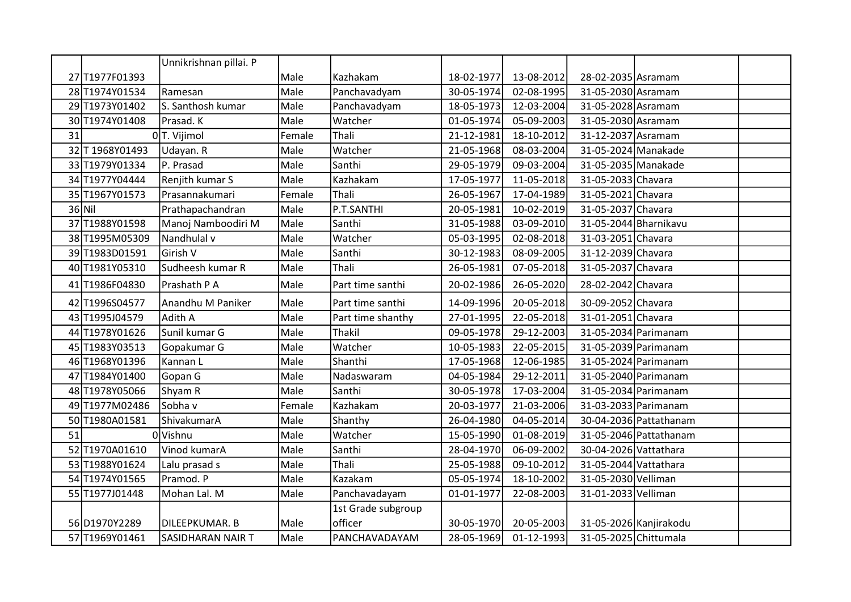|    |                 | Unnikrishnan pillai. P   |        |                    |            |            |                       |                        |  |
|----|-----------------|--------------------------|--------|--------------------|------------|------------|-----------------------|------------------------|--|
|    | 27 T1977F01393  |                          | Male   | Kazhakam           | 18-02-1977 | 13-08-2012 | 28-02-2035 Asramam    |                        |  |
|    | 28 T1974Y01534  | Ramesan                  | Male   | Panchavadyam       | 30-05-1974 | 02-08-1995 | 31-05-2030 Asramam    |                        |  |
|    | 29 T1973Y01402  | S. Santhosh kumar        | Male   | Panchavadyam       | 18-05-1973 | 12-03-2004 | 31-05-2028 Asramam    |                        |  |
|    | 30 T1974Y01408  | Prasad. K                | Male   | Watcher            | 01-05-1974 | 05-09-2003 | 31-05-2030 Asramam    |                        |  |
| 31 |                 | $0$ T. Vijimol           | Female | Thali              | 21-12-1981 | 18-10-2012 | 31-12-2037 Asramam    |                        |  |
|    | 32 T 1968Y01493 | Udayan. R                | Male   | Watcher            | 21-05-1968 | 08-03-2004 | 31-05-2024 Manakade   |                        |  |
|    | 33 T1979Y01334  | P. Prasad                | Male   | Santhi             | 29-05-1979 | 09-03-2004 | 31-05-2035 Manakade   |                        |  |
|    | 34 T1977Y04444  | Renjith kumar S          | Male   | Kazhakam           | 17-05-1977 | 11-05-2018 | 31-05-2033 Chavara    |                        |  |
|    | 35 T1967Y01573  | Prasannakumari           | Female | Thali              | 26-05-1967 | 17-04-1989 | 31-05-2021 Chavara    |                        |  |
|    | $36$ Nil        | Prathapachandran         | Male   | P.T.SANTHI         | 20-05-1981 | 10-02-2019 | 31-05-2037 Chavara    |                        |  |
|    | 37 T1988Y01598  | Manoj Namboodiri M       | Male   | Santhi             | 31-05-1988 | 03-09-2010 |                       | 31-05-2044 Bharnikavu  |  |
|    | 38 T1995M05309  | Nandhulal v              | Male   | Watcher            | 05-03-1995 | 02-08-2018 | 31-03-2051 Chavara    |                        |  |
|    | 39 T1983D01591  | Girish V                 | Male   | Santhi             | 30-12-1983 | 08-09-2005 | 31-12-2039 Chavara    |                        |  |
|    | 40 T1981Y05310  | Sudheesh kumar R         | Male   | Thali              | 26-05-1981 | 07-05-2018 | 31-05-2037 Chavara    |                        |  |
|    | 41 T1986F04830  | Prashath P A             | Male   | Part time santhi   | 20-02-1986 | 26-05-2020 | 28-02-2042 Chavara    |                        |  |
|    | 42 T1996S04577  | Anandhu M Paniker        | Male   | Part time santhi   | 14-09-1996 | 20-05-2018 | 30-09-2052 Chavara    |                        |  |
|    | 43 T1995J04579  | Adith A                  | Male   | Part time shanthy  | 27-01-1995 | 22-05-2018 | 31-01-2051 Chavara    |                        |  |
|    | 44 T1978Y01626  | Sunil kumar G            | Male   | <b>Thakil</b>      | 09-05-1978 | 29-12-2003 |                       | 31-05-2034 Parimanam   |  |
|    | 45 T1983Y03513  | Gopakumar G              | Male   | Watcher            | 10-05-1983 | 22-05-2015 |                       | 31-05-2039 Parimanam   |  |
|    | 46 T1968Y01396  | Kannan L                 | Male   | Shanthi            | 17-05-1968 | 12-06-1985 |                       | 31-05-2024 Parimanam   |  |
|    | 47 T1984Y01400  | Gopan G                  | Male   | Nadaswaram         | 04-05-1984 | 29-12-2011 |                       | 31-05-2040 Parimanam   |  |
|    | 48 T1978Y05066  | Shyam R                  | Male   | Santhi             | 30-05-1978 | 17-03-2004 |                       | 31-05-2034 Parimanam   |  |
|    | 49 T1977M02486  | Sobha v                  | Female | Kazhakam           | 20-03-1977 | 21-03-2006 |                       | 31-03-2033 Parimanam   |  |
|    | 50 T1980A01581  | ShivakumarA              | Male   | Shanthy            | 26-04-1980 | 04-05-2014 |                       | 30-04-2036 Pattathanam |  |
| 51 |                 | 0Vishnu                  | Male   | Watcher            | 15-05-1990 | 01-08-2019 |                       | 31-05-2046 Pattathanam |  |
|    | 52 T1970A01610  | Vinod kumarA             | Male   | Santhi             | 28-04-1970 | 06-09-2002 | 30-04-2026 Vattathara |                        |  |
|    | 53 T1988Y01624  | Lalu prasad s            | Male   | Thali              | 25-05-1988 | 09-10-2012 | 31-05-2044 Vattathara |                        |  |
|    | 54 T1974Y01565  | Pramod. P                | Male   | Kazakam            | 05-05-1974 | 18-10-2002 | 31-05-2030 Velliman   |                        |  |
|    | 55 T1977J01448  | Mohan Lal. M             | Male   | Panchavadayam      | 01-01-1977 | 22-08-2003 | 31-01-2033 Velliman   |                        |  |
|    |                 |                          |        | 1st Grade subgroup |            |            |                       |                        |  |
|    | 56 D1970Y2289   | <b>DILEEPKUMAR. B</b>    | Male   | officer            | 30-05-1970 | 20-05-2003 |                       | 31-05-2026 Kanjirakodu |  |
|    | 57 T1969Y01461  | <b>SASIDHARAN NAIR T</b> | Male   | PANCHAVADAYAM      | 28-05-1969 | 01-12-1993 | 31-05-2025 Chittumala |                        |  |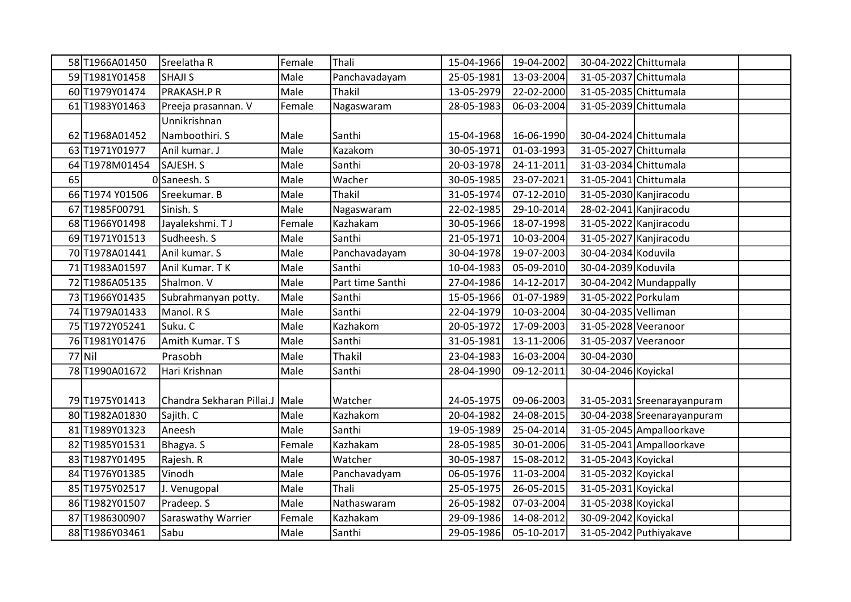|    | 58 T1966A01450  | Sreelatha R                      | Female | Thali            | 15-04-1966 | 19-04-2002 | 30-04-2022 Chittumala |                             |  |
|----|-----------------|----------------------------------|--------|------------------|------------|------------|-----------------------|-----------------------------|--|
|    | 59 T1981Y01458  | <b>SHAJI S</b>                   | Male   | Panchavadayam    | 25-05-1981 | 13-03-2004 | 31-05-2037 Chittumala |                             |  |
|    | 60 T1979Y01474  | PRAKASH.P R                      | Male   | Thakil           | 13-05-2979 | 22-02-2000 | 31-05-2035 Chittumala |                             |  |
|    | 61 T1983Y01463  | Preeja prasannan. V              | Female | Nagaswaram       | 28-05-1983 | 06-03-2004 | 31-05-2039 Chittumala |                             |  |
|    |                 | Unnikrishnan                     |        |                  |            |            |                       |                             |  |
|    | 62 T1968A01452  | Namboothiri. S                   | Male   | Santhi           | 15-04-1968 | 16-06-1990 | 30-04-2024 Chittumala |                             |  |
|    | 63 T1971Y01977  | Anil kumar. J                    | Male   | Kazakom          | 30-05-1971 | 01-03-1993 | 31-05-2027 Chittumala |                             |  |
|    | 64 T1978M01454  | SAJESH. S                        | Male   | Santhi           | 20-03-1978 | 24-11-2011 | 31-03-2034 Chittumala |                             |  |
| 65 |                 | OSaneesh. S                      | Male   | Wacher           | 30-05-1985 | 23-07-2021 | 31-05-2041 Chittumala |                             |  |
|    | 66 T1974 Y01506 | Sreekumar. B                     | Male   | Thakil           | 31-05-1974 | 07-12-2010 |                       | 31-05-2030 Kanjiracodu      |  |
|    | 67 T1985F00791  | Sinish. S                        | Male   | Nagaswaram       | 22-02-1985 | 29-10-2014 |                       | 28-02-2041 Kanjiracodu      |  |
|    | 68 T1966Y01498  | Jayalekshmi. TJ                  | Female | Kazhakam         | 30-05-1966 | 18-07-1998 |                       | 31-05-2022 Kanjiracodu      |  |
|    | 69 T1971Y01513  | Sudheesh. S                      | Male   | Santhi           | 21-05-1971 | 10-03-2004 |                       | 31-05-2027 Kanjiracodu      |  |
|    | 70 T1978A01441  | Anil kumar. S                    | Male   | Panchavadayam    | 30-04-1978 | 19-07-2003 | 30-04-2034 Koduvila   |                             |  |
|    | 71 T1983A01597  | Anil Kumar. T K                  | Male   | Santhi           | 10-04-1983 | 05-09-2010 | 30-04-2039 Koduvila   |                             |  |
|    | 72 T1986A05135  | Shalmon. V                       | Male   | Part time Santhi | 27-04-1986 | 14-12-2017 |                       | 30-04-2042 Mundappally      |  |
|    | 73 T1966Y01435  | Subrahmanyan potty.              | Male   | Santhi           | 15-05-1966 | 01-07-1989 | 31-05-2022 Porkulam   |                             |  |
|    | 74 T1979A01433  | Manol. R S                       | Male   | Santhi           | 22-04-1979 | 10-03-2004 | 30-04-2035 Velliman   |                             |  |
|    | 75 T1972Y05241  | Suku. C                          | Male   | Kazhakom         | 20-05-1972 | 17-09-2003 | 31-05-2028 Veeranoor  |                             |  |
|    | 76 T1981Y01476  | Amith Kumar. TS                  | Male   | Santhi           | 31-05-1981 | 13-11-2006 | 31-05-2037 Veeranoor  |                             |  |
|    | $77$ Nil        | Prasobh                          | Male   | Thakil           | 23-04-1983 | 16-03-2004 | 30-04-2030            |                             |  |
|    | 78 T1990A01672  | Hari Krishnan                    | Male   | Santhi           | 28-04-1990 | 09-12-2011 | 30-04-2046 Koyickal   |                             |  |
|    |                 |                                  |        |                  |            |            |                       |                             |  |
|    | 79 T1975Y01413  | Chandra Sekharan Pillai.J   Male |        | Watcher          | 24-05-1975 | 09-06-2003 |                       | 31-05-2031 Sreenarayanpuram |  |
|    | 80 T1982A01830  | Sajith. C                        | Male   | Kazhakom         | 20-04-1982 | 24-08-2015 |                       | 30-04-2038 Sreenarayanpuram |  |
|    | 81 T1989Y01323  | Aneesh                           | Male   | Santhi           | 19-05-1989 | 25-04-2014 |                       | 31-05-2045 Ampalloorkave    |  |
|    | 82 T1985Y01531  | Bhagya. S                        | Female | Kazhakam         | 28-05-1985 | 30-01-2006 |                       | 31-05-2041 Ampalloorkave    |  |
|    | 83 T1987Y01495  | Rajesh. R                        | Male   | Watcher          | 30-05-1987 | 15-08-2012 | 31-05-2043 Koyickal   |                             |  |
|    | 84 T1976Y01385  | Vinodh                           | Male   | Panchavadyam     | 06-05-1976 | 11-03-2004 | 31-05-2032 Koyickal   |                             |  |
|    | 85 T1975Y02517  | J. Venugopal                     | Male   | Thali            | 25-05-1975 | 26-05-2015 | 31-05-2031 Koyickal   |                             |  |
|    | 86 T1982Y01507  | Pradeep. S                       | Male   | Nathaswaram      | 26-05-1982 | 07-03-2004 | 31-05-2038 Koyickal   |                             |  |
|    | 87 T1986300907  | <b>Saraswathy Warrier</b>        | Female | Kazhakam         | 29-09-1986 | 14-08-2012 | 30-09-2042 Koyickal   |                             |  |
|    | 88 T1986Y03461  | Sabu                             | Male   | Santhi           | 29-05-1986 | 05-10-2017 |                       | 31-05-2042 Puthiyakave      |  |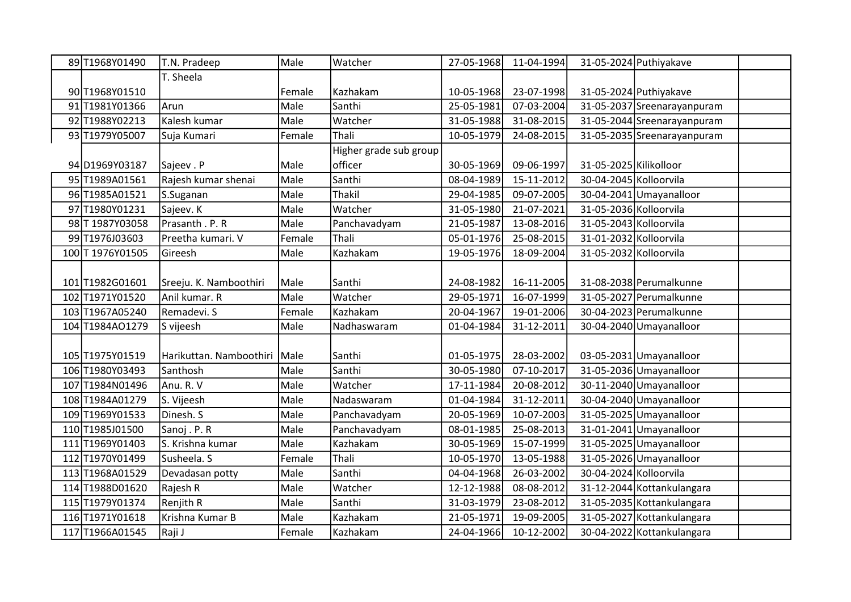| 89 T1968Y01490   | T.N. Pradeep            | Male   | Watcher                | 27-05-1968 | 11-04-1994 |                        | 31-05-2024 Puthiyakave      |  |
|------------------|-------------------------|--------|------------------------|------------|------------|------------------------|-----------------------------|--|
|                  | T. Sheela               |        |                        |            |            |                        |                             |  |
| 90 T1968Y01510   |                         | Female | Kazhakam               | 10-05-1968 | 23-07-1998 |                        | 31-05-2024 Puthiyakave      |  |
| 91 T1981Y01366   | Arun                    | Male   | Santhi                 | 25-05-1981 | 07-03-2004 |                        | 31-05-2037 Sreenarayanpuram |  |
| 92 T1988Y02213   | Kalesh kumar            | Male   | Watcher                | 31-05-1988 | 31-08-2015 |                        | 31-05-2044 Sreenarayanpuram |  |
| 93 T1979Y05007   | Suja Kumari             | Female | Thali                  | 10-05-1979 | 24-08-2015 |                        | 31-05-2035 Sreenarayanpuram |  |
|                  |                         |        | Higher grade sub group |            |            |                        |                             |  |
| 94 D1969 Y03187  | Sajeev . P              | Male   | officer                | 30-05-1969 | 09-06-1997 | 31-05-2025 Kilikolloor |                             |  |
| 95 T1989A01561   | Rajesh kumar shenai     | Male   | Santhi                 | 08-04-1989 | 15-11-2012 | 30-04-2045 Kolloorvila |                             |  |
| 96 T1985A01521   | S.Suganan               | Male   | <b>Thakil</b>          | 29-04-1985 | 09-07-2005 |                        | $30-04-2041$ Umayanalloor   |  |
| 97 T1980Y01231   | Sajeev. K               | Male   | Watcher                | 31-05-1980 | 21-07-2021 | 31-05-2036 Kolloorvila |                             |  |
| 98 T 1987Y03058  | Prasanth . P. R         | Male   | Panchavadyam           | 21-05-1987 | 13-08-2016 | 31-05-2043 Kolloorvila |                             |  |
| 99 T1976 J03603  | Preetha kumari. V       | Female | Thali                  | 05-01-1976 | 25-08-2015 | 31-01-2032 Kolloorvila |                             |  |
| 100 T 1976Y01505 | Gireesh                 | Male   | Kazhakam               | 19-05-1976 | 18-09-2004 | 31-05-2032 Kolloorvila |                             |  |
|                  |                         |        |                        |            |            |                        |                             |  |
| 101 T1982G01601  | Sreeju. K. Namboothiri  | Male   | Santhi                 | 24-08-1982 | 16-11-2005 |                        | 31-08-2038 Perumalkunne     |  |
| 102 T1971Y01520  | Anil kumar. R           | Male   | Watcher                | 29-05-1971 | 16-07-1999 |                        | 31-05-2027 Perumalkunne     |  |
| 103 T1967A05240  | Remadevi. S             | Female | Kazhakam               | 20-04-1967 | 19-01-2006 |                        | 30-04-2023 Perumalkunne     |  |
| 104 T1984AO1279  | S vijeesh               | Male   | Nadhaswaram            | 01-04-1984 | 31-12-2011 |                        | 30-04-2040 Umayanalloor     |  |
|                  |                         |        |                        |            |            |                        |                             |  |
| 105 T1975Y01519  | Harikuttan. Namboothiri | Male   | Santhi                 | 01-05-1975 | 28-03-2002 |                        | 03-05-2031 Umayanalloor     |  |
| 106 T1980Y03493  | Santhosh                | Male   | Santhi                 | 30-05-1980 | 07-10-2017 |                        | 31-05-2036 Umayanalloor     |  |
| 107 T1984N01496  | Anu. R. V               | Male   | Watcher                | 17-11-1984 | 20-08-2012 |                        | 30-11-2040 Umayanalloor     |  |
| 108 T1984A01279  | S. Vijeesh              | Male   | Nadaswaram             | 01-04-1984 | 31-12-2011 |                        | 30-04-2040 Umayanalloor     |  |
| 109 T1969Y01533  | Dinesh. S               | Male   | Panchavadyam           | 20-05-1969 | 10-07-2003 |                        | 31-05-2025 Umayanalloor     |  |
| 110 T1985J01500  | Sanoj . P. R            | Male   | Panchavadyam           | 08-01-1985 | 25-08-2013 |                        | $31-01-2041$ Umayanalloor   |  |
| 111 T1969Y01403  | S. Krishna kumar        | Male   | Kazhakam               | 30-05-1969 | 15-07-1999 |                        | 31-05-2025 Umayanalloor     |  |
| 112 T1970Y01499  | Susheela. S             | Female | Thali                  | 10-05-1970 | 13-05-1988 |                        | 31-05-2026 Umayanalloor     |  |
| 113 T1968A01529  | Devadasan potty         | Male   | Santhi                 | 04-04-1968 | 26-03-2002 | 30-04-2024 Kolloorvila |                             |  |
| 114 T1988D01620  | Rajesh R                | Male   | Watcher                | 12-12-1988 | 08-08-2012 |                        | 31-12-2044 Kottankulangara  |  |
| 115 T1979Y01374  | Renjith R               | Male   | Santhi                 | 31-03-1979 | 23-08-2012 |                        | 31-05-2035 Kottankulangara  |  |
| 116 T1971Y01618  | Krishna Kumar B         | Male   | Kazhakam               | 21-05-1971 | 19-09-2005 |                        | 31-05-2027 Kottankulangara  |  |
| 117 T1966A01545  | Raji J                  | Female | Kazhakam               | 24-04-1966 | 10-12-2002 |                        | 30-04-2022 Kottankulangara  |  |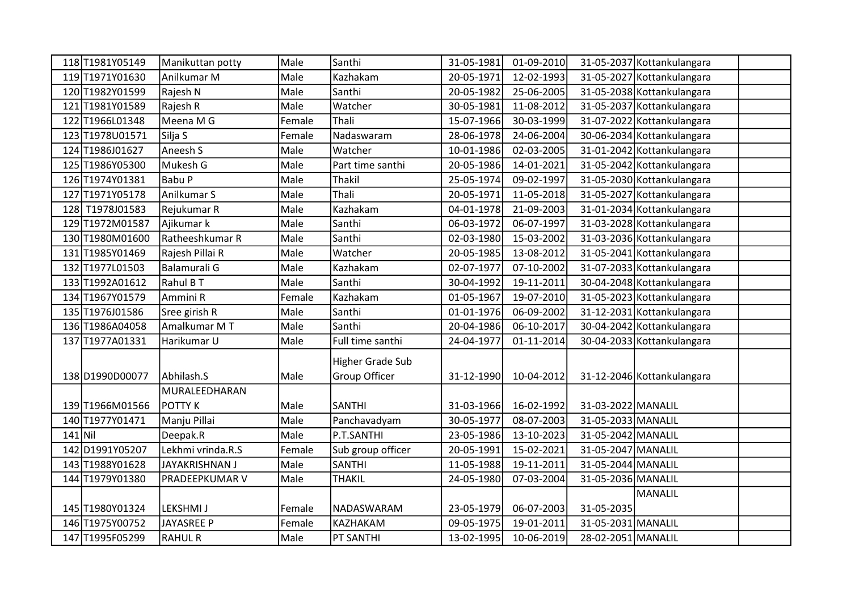|           | 118T1981Y05149  | Manikuttan potty      | Male   | Santhi            | 31-05-1981 | 01-09-2010 |                    | 31-05-2037 Kottankulangara |  |
|-----------|-----------------|-----------------------|--------|-------------------|------------|------------|--------------------|----------------------------|--|
|           | 119 T1971Y01630 | Anilkumar M           | Male   | Kazhakam          | 20-05-1971 | 12-02-1993 |                    | 31-05-2027 Kottankulangara |  |
|           | 120T1982Y01599  | Rajesh N              | Male   | Santhi            | 20-05-1982 | 25-06-2005 |                    | 31-05-2038 Kottankulangara |  |
|           | 121 T1981Y01589 | Rajesh R              | Male   | Watcher           | 30-05-1981 | 11-08-2012 |                    | 31-05-2037 Kottankulangara |  |
|           | 122 T1966L01348 | Meena M G             | Female | Thali             | 15-07-1966 | 30-03-1999 |                    | 31-07-2022 Kottankulangara |  |
|           | 123 T1978U01571 | Silja S               | Female | Nadaswaram        | 28-06-1978 | 24-06-2004 |                    | 30-06-2034 Kottankulangara |  |
|           | 124 T1986J01627 | Aneesh S              | Male   | Watcher           | 10-01-1986 | 02-03-2005 |                    | 31-01-2042 Kottankulangara |  |
|           | 125 T1986Y05300 | Mukesh G              | Male   | Part time santhi  | 20-05-1986 | 14-01-2021 |                    | 31-05-2042 Kottankulangara |  |
|           | 126 T1974Y01381 | <b>Babu P</b>         | Male   | Thakil            | 25-05-1974 | 09-02-1997 |                    | 31-05-2030 Kottankulangara |  |
|           | 127 T1971Y05178 | Anilkumar S           | Male   | Thali             | 20-05-1971 | 11-05-2018 |                    | 31-05-2027 Kottankulangara |  |
|           | 128 T1978J01583 | Rejukumar R           | Male   | Kazhakam          | 04-01-1978 | 21-09-2003 |                    | 31-01-2034 Kottankulangara |  |
|           | 129 T1972M01587 | Ajikumar k            | Male   | Santhi            | 06-03-1972 | 06-07-1997 |                    | 31-03-2028 Kottankulangara |  |
|           | 130 T1980M01600 | Ratheeshkumar R       | Male   | Santhi            | 02-03-1980 | 15-03-2002 |                    | 31-03-2036 Kottankulangara |  |
|           | 131 T1985Y01469 | Rajesh Pillai R       | Male   | Watcher           | 20-05-1985 | 13-08-2012 |                    | 31-05-2041 Kottankulangara |  |
|           | 132 T1977L01503 | Balamurali G          | Male   | Kazhakam          | 02-07-1977 | 07-10-2002 |                    | 31-07-2033 Kottankulangara |  |
|           | 133 T1992A01612 | Rahul B T             | Male   | Santhi            | 30-04-1992 | 19-11-2011 |                    | 30-04-2048 Kottankulangara |  |
|           | 134 T1967Y01579 | Ammini R              | Female | Kazhakam          | 01-05-1967 | 19-07-2010 |                    | 31-05-2023 Kottankulangara |  |
|           | 135 T1976J01586 | Sree girish R         | Male   | Santhi            | 01-01-1976 | 06-09-2002 |                    | 31-12-2031 Kottankulangara |  |
|           | 136 T1986A04058 | Amalkumar M T         | Male   | Santhi            | 20-04-1986 | 06-10-2017 |                    | 30-04-2042 Kottankulangara |  |
|           | 137 T1977A01331 | Harikumar U           | Male   | Full time santhi  | 24-04-1977 | 01-11-2014 |                    | 30-04-2033 Kottankulangara |  |
|           |                 |                       |        | Higher Grade Sub  |            |            |                    |                            |  |
|           | 138D1990D00077  | Abhilash.S            | Male   | Group Officer     | 31-12-1990 | 10-04-2012 |                    | 31-12-2046 Kottankulangara |  |
|           |                 | MURALEEDHARAN         |        |                   |            |            |                    |                            |  |
|           | 139 T1966M01566 | POTTY K               | Male   | <b>SANTHI</b>     | 31-03-1966 | 16-02-1992 | 31-03-2022 MANALIL |                            |  |
|           | 140 T1977Y01471 | Manju Pillai          | Male   | Panchavadyam      | 30-05-1977 | 08-07-2003 | 31-05-2033 MANALIL |                            |  |
| $141$ Nil |                 | Deepak.R              | Male   | P.T.SANTHI        | 23-05-1986 | 13-10-2023 | 31-05-2042 MANALIL |                            |  |
|           | 142 D1991Y05207 | Lekhmi vrinda.R.S     | Female | Sub group officer | 20-05-1991 | 15-02-2021 | 31-05-2047 MANALIL |                            |  |
|           | 143 T1988Y01628 | JAYAKRISHNAN J        | Male   | <b>SANTHI</b>     | 11-05-1988 | 19-11-2011 | 31-05-2044 MANALIL |                            |  |
|           | 144 T1979Y01380 | <b>PRADEEPKUMAR V</b> | Male   | <b>THAKIL</b>     | 24-05-1980 | 07-03-2004 | 31-05-2036 MANALIL |                            |  |
|           |                 |                       |        |                   |            |            |                    | MANALIL                    |  |
|           | 145 T1980Y01324 | LEKSHMI J             | Female | NADASWARAM        | 23-05-1979 | 06-07-2003 | 31-05-2035         |                            |  |
|           | 146 T1975Y00752 | JAYASREE P            | Female | KAZHAKAM          | 09-05-1975 | 19-01-2011 | 31-05-2031 MANALIL |                            |  |
|           | 147 T1995F05299 | <b>RAHUL R</b>        | Male   | PT SANTHI         | 13-02-1995 | 10-06-2019 | 28-02-2051 MANALIL |                            |  |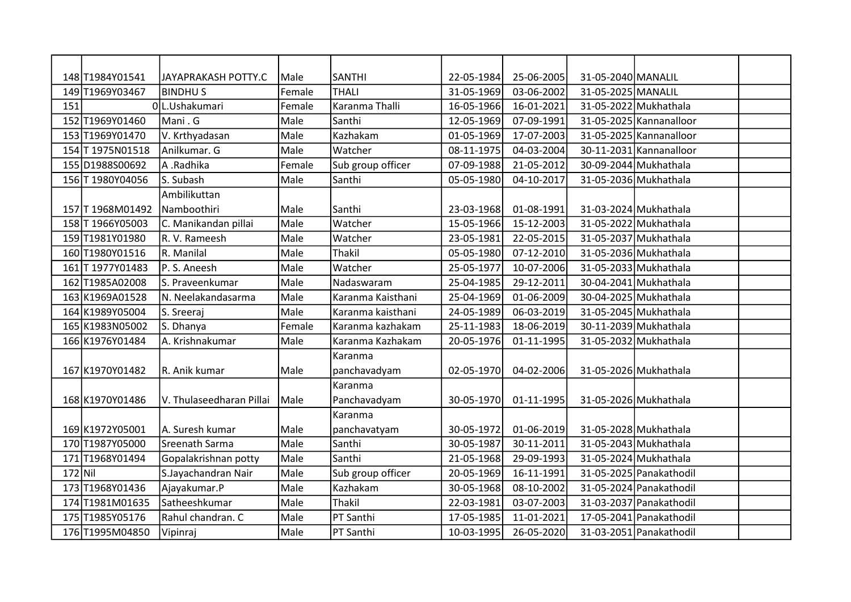|           | 148 T1984Y01541  | JAYAPRAKASH POTTY.C      | Male   | <b>SANTHI</b>     | 22-05-1984 | 25-06-2005 | 31-05-2040 MANALIL |                         |  |
|-----------|------------------|--------------------------|--------|-------------------|------------|------------|--------------------|-------------------------|--|
|           | 149T1969Y03467   | <b>BINDHUS</b>           | Female | lthali            | 31-05-1969 | 03-06-2002 | 31-05-2025 MANALIL |                         |  |
| 151       |                  | 0L.Ushakumari            | Female | Karanma Thalli    | 16-05-1966 | 16-01-2021 |                    | 31-05-2022 Mukhathala   |  |
|           | 152 T1969Y01460  | Mani . G                 | Male   | Santhi            | 12-05-1969 | 07-09-1991 |                    | 31-05-2025 Kannanalloor |  |
|           | 153 T1969Y01470  | V. Krthyadasan           | Male   | Kazhakam          | 01-05-1969 | 17-07-2003 |                    | 31-05-2025 Kannanalloor |  |
|           | 154 T 1975N01518 | Anilkumar. G             | Male   | Watcher           | 08-11-1975 | 04-03-2004 |                    | 30-11-2031 Kannanalloor |  |
|           | 155D1988S00692   | A .Radhika               | Female | Sub group officer | 07-09-1988 | 21-05-2012 |                    | 30-09-2044 Mukhathala   |  |
|           | 156 T 1980Y04056 | S. Subash                | Male   | Santhi            | 05-05-1980 | 04-10-2017 |                    | 31-05-2036 Mukhathala   |  |
|           |                  | Ambilikuttan             |        |                   |            |            |                    |                         |  |
|           | 157 T 1968M01492 | Namboothiri              | Male   | Santhi            | 23-03-1968 | 01-08-1991 |                    | 31-03-2024 Mukhathala   |  |
|           | 158 T 1966Y05003 | C. Manikandan pillai     | Male   | Watcher           | 15-05-1966 | 15-12-2003 |                    | 31-05-2022 Mukhathala   |  |
|           | 159T1981Y01980   | R. V. Rameesh            | Male   | Watcher           | 23-05-1981 | 22-05-2015 |                    | 31-05-2037 Mukhathala   |  |
|           | 160 T1980Y01516  | R. Manilal               | Male   | Thakil            | 05-05-1980 | 07-12-2010 |                    | 31-05-2036 Mukhathala   |  |
|           | 161 T 1977Y01483 | P. S. Aneesh             | Male   | Watcher           | 25-05-1977 | 10-07-2006 |                    | 31-05-2033 Mukhathala   |  |
|           | 162 T1985A02008  | S. Praveenkumar          | Male   | Nadaswaram        | 25-04-1985 | 29-12-2011 |                    | 30-04-2041 Mukhathala   |  |
|           | 163 K1969A01528  | N. Neelakandasarma       | Male   | Karanma Kaisthani | 25-04-1969 | 01-06-2009 |                    | 30-04-2025 Mukhathala   |  |
|           | 164 K1989Y05004  | S. Sreeraj               | Male   | Karanma kaisthani | 24-05-1989 | 06-03-2019 |                    | 31-05-2045 Mukhathala   |  |
|           | 165 K1983N05002  | S. Dhanya                | Female | Karanma kazhakam  | 25-11-1983 | 18-06-2019 |                    | 30-11-2039 Mukhathala   |  |
|           | 166 K1976Y01484  | A. Krishnakumar          | Male   | Karanma Kazhakam  | 20-05-1976 | 01-11-1995 |                    | 31-05-2032 Mukhathala   |  |
|           |                  |                          |        | Karanma           |            |            |                    |                         |  |
|           | 167 K1970Y01482  | R. Anik kumar            | Male   | panchavadyam      | 02-05-1970 | 04-02-2006 |                    | 31-05-2026 Mukhathala   |  |
|           |                  |                          |        | Karanma           |            |            |                    |                         |  |
|           | 168 K1970Y01486  | V. Thulaseedharan Pillai | Male   | Panchavadyam      | 30-05-1970 | 01-11-1995 |                    | 31-05-2026 Mukhathala   |  |
|           |                  |                          |        | Karanma           |            |            |                    |                         |  |
|           | 169 K1972Y05001  | A. Suresh kumar          | Male   | panchavatyam      | 30-05-1972 | 01-06-2019 |                    | 31-05-2028 Mukhathala   |  |
|           | 170 T1987Y05000  | Sreenath Sarma           | Male   | Santhi            | 30-05-1987 | 30-11-2011 |                    | 31-05-2043 Mukhathala   |  |
|           | 171 T1968Y01494  | Gopalakrishnan potty     | Male   | Santhi            | 21-05-1968 | 29-09-1993 |                    | 31-05-2024 Mukhathala   |  |
| $172$ Nil |                  | S.Jayachandran Nair      | Male   | Sub group officer | 20-05-1969 | 16-11-1991 |                    | 31-05-2025 Panakathodil |  |
|           | 173 T1968Y01436  | Ajayakumar.P             | Male   | Kazhakam          | 30-05-1968 | 08-10-2002 |                    | 31-05-2024 Panakathodil |  |
|           | 174 T1981M01635  | Satheeshkumar            | Male   | Thakil            | 22-03-1981 | 03-07-2003 |                    | 31-03-2037 Panakathodil |  |
|           | 175 T1985Y05176  | Rahul chandran. C        | Male   | PT Santhi         | 17-05-1985 | 11-01-2021 |                    | 17-05-2041 Panakathodil |  |
|           | 176 T1995M04850  | Vipinraj                 | Male   | PT Santhi         | 10-03-1995 | 26-05-2020 |                    | 31-03-2051 Panakathodil |  |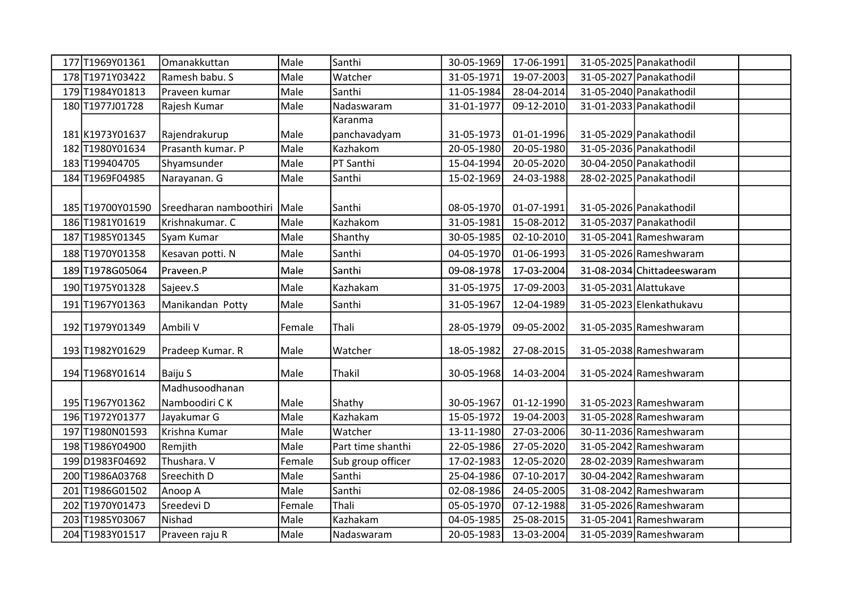| 177 T1969Y01361  | Omanakkuttan           | Male   | Santhi            | 30-05-1969 | 17-06-1991 |                       | 31-05-2025 Panakathodil    |  |
|------------------|------------------------|--------|-------------------|------------|------------|-----------------------|----------------------------|--|
| 178T1971Y03422   | Ramesh babu. S         | Male   | Watcher           | 31-05-1971 | 19-07-2003 |                       | 31-05-2027 Panakathodil    |  |
| 179 T1984Y01813  | Praveen kumar          | Male   | Santhi            | 11-05-1984 | 28-04-2014 |                       | 31-05-2040 Panakathodil    |  |
| 180 T1977J01728  | Rajesh Kumar           | Male   | Nadaswaram        | 31-01-1977 | 09-12-2010 |                       | 31-01-2033 Panakathodil    |  |
|                  |                        |        | Karanma           |            |            |                       |                            |  |
| 181 K1973Y01637  | Rajendrakurup          | Male   | panchavadyam      | 31-05-1973 | 01-01-1996 |                       | 31-05-2029 Panakathodil    |  |
| 182 T1980Y01634  | Prasanth kumar. P      | Male   | Kazhakom          | 20-05-1980 | 20-05-1980 |                       | 31-05-2036 Panakathodil    |  |
| 183 T199404705   | Shyamsunder            | Male   | PT Santhi         | 15-04-1994 | 20-05-2020 |                       | 30-04-2050 Panakathodil    |  |
| 184 T1969F04985  | Narayanan. G           | Male   | Santhi            | 15-02-1969 | 24-03-1988 |                       | 28-02-2025 Panakathodil    |  |
|                  |                        |        |                   |            |            |                       |                            |  |
| 185 T19700Y01590 | Sreedharan namboothiri | Male   | Santhi            | 08-05-1970 | 01-07-1991 |                       | 31-05-2026 Panakathodil    |  |
| 186 T1981Y01619  | Krishnakumar. C        | Male   | Kazhakom          | 31-05-1981 | 15-08-2012 |                       | 31-05-2037 Panakathodil    |  |
| 187 T1985Y01345  | Syam Kumar             | Male   | Shanthy           | 30-05-1985 | 02-10-2010 |                       | 31-05-2041 Rameshwaram     |  |
| 188 T1970Y01358  | Kesavan potti. N       | Male   | Santhi            | 04-05-1970 | 01-06-1993 |                       | 31-05-2026 Rameshwaram     |  |
| 189 T1978G05064  | Praveen.P              | Male   | Santhi            | 09-08-1978 | 17-03-2004 |                       | 31-08-2034 Chittadeeswaram |  |
| 190 T1975Y01328  | Sajeev.S               | Male   | Kazhakam          | 31-05-1975 | 17-09-2003 | 31-05-2031 Alattukave |                            |  |
| 191 T1967Y01363  | Manikandan Potty       | Male   | Santhi            | 31-05-1967 | 12-04-1989 |                       | 31-05-2023 Elenkathukavu   |  |
| 192 T1979Y01349  | Ambili V               | Female | Thali             | 28-05-1979 | 09-05-2002 |                       | 31-05-2035 Rameshwaram     |  |
| 193 T1982Y01629  | Pradeep Kumar. R       | Male   | Watcher           | 18-05-1982 | 27-08-2015 |                       | 31-05-2038 Rameshwaram     |  |
| 194 T1968Y01614  | Baiju S                | Male   | <b>Thakil</b>     | 30-05-1968 | 14-03-2004 |                       | 31-05-2024 Rameshwaram     |  |
|                  | Madhusoodhanan         |        |                   |            |            |                       |                            |  |
| 195 T1967Y01362  | Namboodiri CK          | Male   | Shathy            | 30-05-1967 | 01-12-1990 |                       | 31-05-2023 Rameshwaram     |  |
| 196T1972Y01377   | Jayakumar G            | Male   | Kazhakam          | 15-05-1972 | 19-04-2003 |                       | 31-05-2028 Rameshwaram     |  |
| 197 T1980N01593  | Krishna Kumar          | Male   | Watcher           | 13-11-1980 | 27-03-2006 |                       | 30-11-2036 Rameshwaram     |  |
| 198 T1986Y04900  | Remjith                | Male   | Part time shanthi | 22-05-1986 | 27-05-2020 |                       | 31-05-2042 Rameshwaram     |  |
| 199 D1983F04692  | Thushara. V            | Female | Sub group officer | 17-02-1983 | 12-05-2020 |                       | 28-02-2039 Rameshwaram     |  |
| 200 T1986A03768  | Sreechith D            | Male   | Santhi            | 25-04-1986 | 07-10-2017 |                       | 30-04-2042 Rameshwaram     |  |
| 201 T1986G01502  | Anoop A                | Male   | Santhi            | 02-08-1986 | 24-05-2005 |                       | 31-08-2042 Rameshwaram     |  |
| 202 T1970Y01473  | Sreedevi D             | Female | Thali             | 05-05-1970 | 07-12-1988 |                       | 31-05-2026 Rameshwaram     |  |
| 203 T1985Y03067  | Nishad                 | Male   | Kazhakam          | 04-05-1985 | 25-08-2015 |                       | 31-05-2041 Rameshwaram     |  |
| 204 T1983Y01517  | Praveen raju R         | Male   | Nadaswaram        | 20-05-1983 | 13-03-2004 |                       | 31-05-2039 Rameshwaram     |  |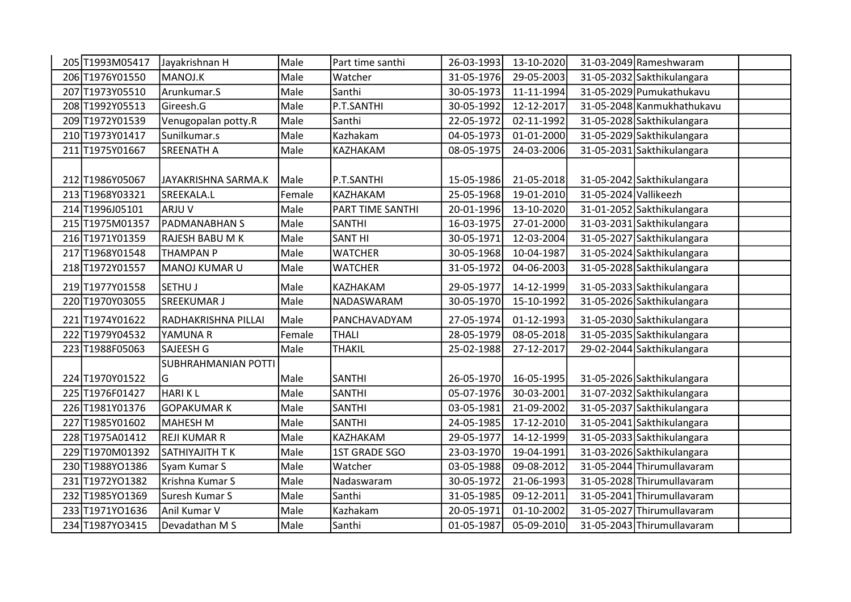| 205 T1993M05417 | Jayakrishnan H         | Male   | Part time santhi | 26-03-1993 | 13-10-2020 |                       | 31-03-2049 Rameshwaram     |  |
|-----------------|------------------------|--------|------------------|------------|------------|-----------------------|----------------------------|--|
| 206 T1976Y01550 | MANOJ.K                | Male   | Watcher          | 31-05-1976 | 29-05-2003 |                       | 31-05-2032 Sakthikulangara |  |
| 207 T1973Y05510 | Arunkumar.S            | Male   | Santhi           | 30-05-1973 | 11-11-1994 |                       | 31-05-2029 Pumukathukavu   |  |
| 208 T1992Y05513 | Gireesh.G              | Male   | P.T.SANTHI       | 30-05-1992 | 12-12-2017 |                       | 31-05-2048 Kanmukhathukavu |  |
| 209T1972Y01539  | Venugopalan potty.R    | Male   | Santhi           | 22-05-1972 | 02-11-1992 |                       | 31-05-2028 Sakthikulangara |  |
| 210 T1973Y01417 | Sunilkumar.s           | Male   | Kazhakam         | 04-05-1973 | 01-01-2000 |                       | 31-05-2029 Sakthikulangara |  |
| 211 T1975Y01667 | <b>SREENATH A</b>      | Male   | KAZHAKAM         | 08-05-1975 | 24-03-2006 |                       | 31-05-2031 Sakthikulangara |  |
|                 |                        |        |                  |            |            |                       |                            |  |
| 212 T1986Y05067 | JAYAKRISHNA SARMA.K    | Male   | P.T.SANTHI       | 15-05-1986 | 21-05-2018 |                       | 31-05-2042 Sakthikulangara |  |
| 213 T1968Y03321 | SREEKALA.L             | Female | KAZHAKAM         | 25-05-1968 | 19-01-2010 | 31-05-2024 Vallikeezh |                            |  |
| 214 T1996J05101 | ARJU V                 | Male   | PART TIME SANTHI | 20-01-1996 | 13-10-2020 |                       | 31-01-2052 Sakthikulangara |  |
| 215 T1975M01357 | <b>PADMANABHAN S</b>   | Male   | <b>SANTHI</b>    | 16-03-1975 | 27-01-2000 |                       | 31-03-2031 Sakthikulangara |  |
| 216 T1971Y01359 | <b>RAJESH BABU M K</b> | Male   | <b>SANT HI</b>   | 30-05-1971 | 12-03-2004 |                       | 31-05-2027 Sakthikulangara |  |
| 217 T1968Y01548 | <b>THAMPAN P</b>       | Male   | <b>WATCHER</b>   | 30-05-1968 | 10-04-1987 |                       | 31-05-2024 Sakthikulangara |  |
| 218 T1972Y01557 | MANOJ KUMAR U          | Male   | <b>WATCHER</b>   | 31-05-1972 | 04-06-2003 |                       | 31-05-2028 Sakthikulangara |  |
| 219 T1977Y01558 | <b>SETHUJ</b>          | Male   | KAZHAKAM         | 29-05-1977 | 14-12-1999 |                       | 31-05-2033 Sakthikulangara |  |
| 220 T1970Y03055 | <b>SREEKUMAR J</b>     | Male   | NADASWARAM       | 30-05-1970 | 15-10-1992 |                       | 31-05-2026 Sakthikulangara |  |
| 221 T1974Y01622 | RADHAKRISHNA PILLAI    | Male   | PANCHAVADYAM     | 27-05-1974 | 01-12-1993 |                       | 31-05-2030 Sakthikulangara |  |
| 222 T1979Y04532 | YAMUNA R               | Female | <b>THALI</b>     | 28-05-1979 | 08-05-2018 |                       | 31-05-2035 Sakthikulangara |  |
| 223 T1988F05063 | SAJEESH G              | Male   | <b>THAKIL</b>    | 25-02-1988 | 27-12-2017 |                       | 29-02-2044 Sakthikulangara |  |
|                 | SUBHRAHMANIAN POTTI    |        |                  |            |            |                       |                            |  |
| 224 T1970Y01522 | G                      | Male   | <b>SANTHI</b>    | 26-05-1970 | 16-05-1995 |                       | 31-05-2026 Sakthikulangara |  |
| 225 T1976F01427 | <b>HARIKL</b>          | Male   | <b>SANTHI</b>    | 05-07-1976 | 30-03-2001 |                       | 31-07-2032 Sakthikulangara |  |
| 226 T1981Y01376 | <b>GOPAKUMARK</b>      | Male   | <b>SANTHI</b>    | 03-05-1981 | 21-09-2002 |                       | 31-05-2037 Sakthikulangara |  |
| 227 T1985Y01602 | <b>MAHESH M</b>        | Male   | <b>SANTHI</b>    | 24-05-1985 | 17-12-2010 |                       | 31-05-2041 Sakthikulangara |  |
| 228 T1975A01412 | <b>REJI KUMAR R</b>    | Male   | KAZHAKAM         | 29-05-1977 | 14-12-1999 |                       | 31-05-2033 Sakthikulangara |  |
| 229 T1970M01392 | SATHIYAJITH TK         | Male   | 1ST GRADE SGO    | 23-03-1970 | 19-04-1991 |                       | 31-03-2026 Sakthikulangara |  |
| 230 T1988YO1386 | Syam Kumar S           | Male   | Watcher          | 03-05-1988 | 09-08-2012 |                       | 31-05-2044 Thirumullavaram |  |
| 231 T1972YO1382 | Krishna Kumar S        | Male   | Nadaswaram       | 30-05-1972 | 21-06-1993 |                       | 31-05-2028 Thirumullavaram |  |
| 232 T1985YO1369 | Suresh Kumar S         | Male   | Santhi           | 31-05-1985 | 09-12-2011 |                       | 31-05-2041 Thirumullavaram |  |
| 233 T1971YO1636 | Anil Kumar V           | Male   | Kazhakam         | 20-05-1971 | 01-10-2002 |                       | 31-05-2027 Thirumullavaram |  |
| 234 T1987YO3415 | Devadathan M S         | Male   | Santhi           | 01-05-1987 | 05-09-2010 |                       | 31-05-2043 Thirumullavaram |  |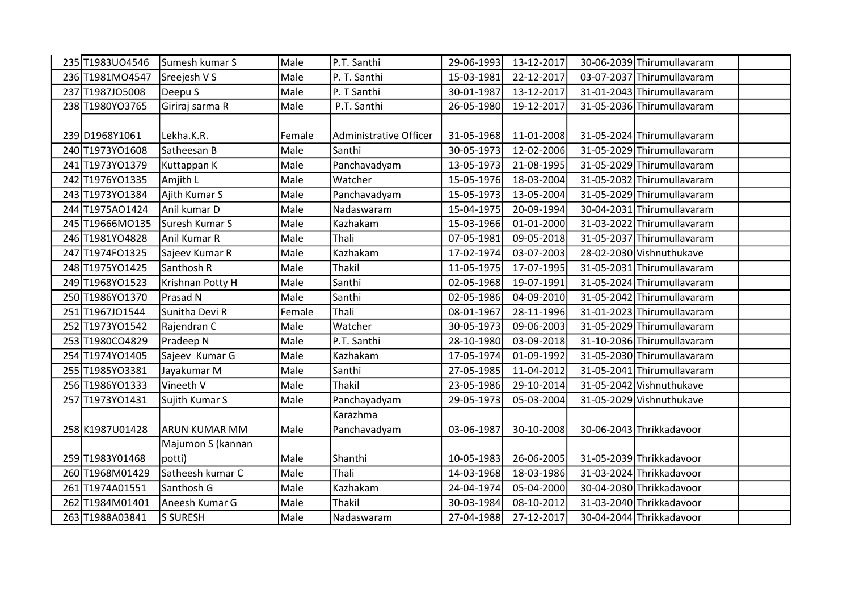| 235 T1983U04546 | Sumesh kumar S       | Male   | P.T. Santhi            | 29-06-1993 | 13-12-2017 | 30-06-2039 Thirumullavaram |  |
|-----------------|----------------------|--------|------------------------|------------|------------|----------------------------|--|
| 236 T1981MO4547 | Sreejesh V S         | Male   | P. T. Santhi           | 15-03-1981 | 22-12-2017 | 03-07-2037 Thirumullavaram |  |
| 237 T1987JO5008 | Deepu S              | Male   | P. T Santhi            | 30-01-1987 | 13-12-2017 | 31-01-2043 Thirumullavaram |  |
| 238 T1980YO3765 | Giriraj sarma R      | Male   | P.T. Santhi            | 26-05-1980 | 19-12-2017 | 31-05-2036 Thirumullavaram |  |
|                 |                      |        |                        |            |            |                            |  |
| 239 D1968 Y1061 | Lekha.K.R.           | Female | Administrative Officer | 31-05-1968 | 11-01-2008 | 31-05-2024 Thirumullavaram |  |
| 240 T1973YO1608 | Satheesan B          | Male   | Santhi                 | 30-05-1973 | 12-02-2006 | 31-05-2029 Thirumullavaram |  |
| 241 T1973YO1379 | Kuttappan K          | Male   | Panchavadyam           | 13-05-1973 | 21-08-1995 | 31-05-2029 Thirumullavaram |  |
| 242 T1976YO1335 | Amjith L             | Male   | Watcher                | 15-05-1976 | 18-03-2004 | 31-05-2032 Thirumullavaram |  |
| 243 T1973YO1384 | Ajith Kumar S        | Male   | Panchavadyam           | 15-05-1973 | 13-05-2004 | 31-05-2029 Thirumullavaram |  |
| 244 T1975AO1424 | Anil kumar D         | Male   | Nadaswaram             | 15-04-1975 | 20-09-1994 | 30-04-2031 Thirumullavaram |  |
| 245 T19666MO135 | Suresh Kumar S       | Male   | Kazhakam               | 15-03-1966 | 01-01-2000 | 31-03-2022 Thirumullavaram |  |
| 246 T1981YO4828 | Anil Kumar R         | Male   | Thali                  | 07-05-1981 | 09-05-2018 | 31-05-2037 Thirumullavaram |  |
| 247 T1974FO1325 | Sajeev Kumar R       | Male   | Kazhakam               | 17-02-1974 | 03-07-2003 | 28-02-2030 Vishnuthukave   |  |
| 248 T1975YO1425 | Santhosh R           | Male   | Thakil                 | 11-05-1975 | 17-07-1995 | 31-05-2031 Thirumullavaram |  |
| 249 T1968YO1523 | Krishnan Potty H     | Male   | Santhi                 | 02-05-1968 | 19-07-1991 | 31-05-2024 Thirumullavaram |  |
| 250 T1986YO1370 | Prasad N             | Male   | Santhi                 | 02-05-1986 | 04-09-2010 | 31-05-2042 Thirumullavaram |  |
| 251 T1967JO1544 | Sunitha Devi R       | Female | Thali                  | 08-01-1967 | 28-11-1996 | 31-01-2023 Thirumullavaram |  |
| 252 T1973YO1542 | Rajendran C          | Male   | Watcher                | 30-05-1973 | 09-06-2003 | 31-05-2029 Thirumullavaram |  |
| 253 T1980CO4829 | Pradeep N            | Male   | P.T. Santhi            | 28-10-1980 | 03-09-2018 | 31-10-2036 Thirumullavaram |  |
| 254 T1974YO1405 | Sajeev Kumar G       | Male   | Kazhakam               | 17-05-1974 | 01-09-1992 | 31-05-2030 Thirumullavaram |  |
| 255 T1985YO3381 | Jayakumar M          | Male   | Santhi                 | 27-05-1985 | 11-04-2012 | 31-05-2041 Thirumullavaram |  |
| 256 T1986YO1333 | Vineeth V            | Male   | <b>Thakil</b>          | 23-05-1986 | 29-10-2014 | 31-05-2042 Vishnuthukave   |  |
| 257 T1973YO1431 | Sujith Kumar S       | Male   | Panchayadyam           | 29-05-1973 | 05-03-2004 | 31-05-2029 Vishnuthukave   |  |
|                 |                      |        | Karazhma               |            |            |                            |  |
| 258 K1987U01428 | <b>ARUN KUMAR MM</b> | Male   | Panchavadyam           | 03-06-1987 | 30-10-2008 | 30-06-2043 Thrikkadavoor   |  |
|                 | Majumon S (kannan    |        |                        |            |            |                            |  |
| 259 T1983Y01468 | potti)               | Male   | Shanthi                | 10-05-1983 | 26-06-2005 | 31-05-2039 Thrikkadavoor   |  |
| 260 T1968M01429 | Satheesh kumar C     | Male   | Thali                  | 14-03-1968 | 18-03-1986 | 31-03-2024 Thrikkadavoor   |  |
| 261 T1974A01551 | Santhosh G           | Male   | Kazhakam               | 24-04-1974 | 05-04-2000 | 30-04-2030 Thrikkadavoor   |  |
| 262 T1984M01401 | Aneesh Kumar G       | Male   | <b>Thakil</b>          | 30-03-1984 | 08-10-2012 | 31-03-2040 Thrikkadavoor   |  |
| 263 T1988A03841 | <b>S SURESH</b>      | Male   | Nadaswaram             | 27-04-1988 | 27-12-2017 | 30-04-2044 Thrikkadavoor   |  |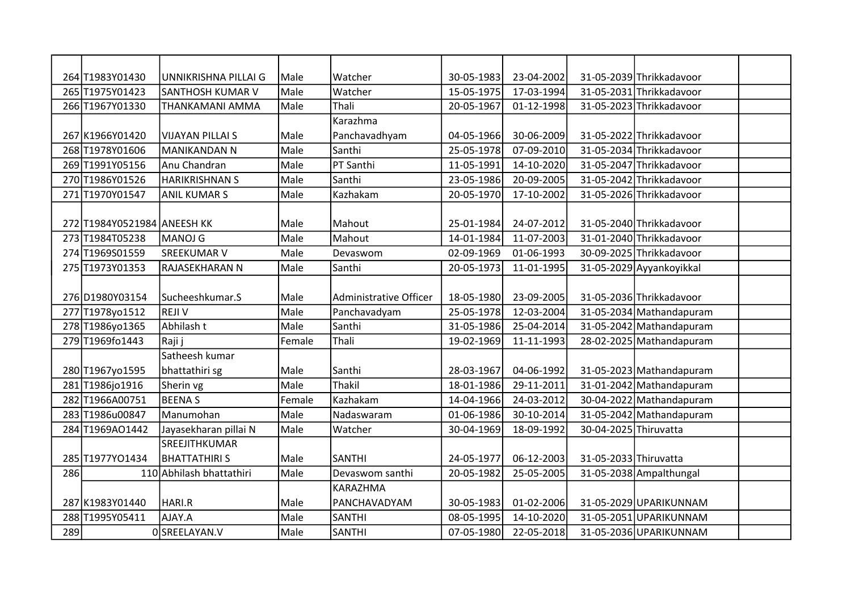|     | 264 T1983Y01430             | UNNIKRISHNA PILLAI G     | Male   | Watcher                | 30-05-1983 | 23-04-2002 |                       | 31-05-2039 Thrikkadavoor |  |
|-----|-----------------------------|--------------------------|--------|------------------------|------------|------------|-----------------------|--------------------------|--|
|     | 265 T1975Y01423             | <b>SANTHOSH KUMAR V</b>  | Male   | Watcher                | 15-05-1975 | 17-03-1994 |                       | 31-05-2031 Thrikkadavoor |  |
|     | 266 T1967Y01330             | THANKAMANI AMMA          | Male   | Thali                  | 20-05-1967 | 01-12-1998 |                       | 31-05-2023 Thrikkadavoor |  |
|     |                             |                          |        | Karazhma               |            |            |                       |                          |  |
|     | 267 K1966Y01420             | <b>VIJAYAN PILLAI S</b>  | Male   | Panchavadhyam          | 04-05-1966 | 30-06-2009 |                       | 31-05-2022 Thrikkadavoor |  |
|     | 268 T1978Y01606             | <b>MANIKANDAN N</b>      | Male   | Santhi                 | 25-05-1978 | 07-09-2010 |                       | 31-05-2034 Thrikkadavoor |  |
|     | 269 T1991Y05156             | Anu Chandran             | Male   | PT Santhi              | 11-05-1991 | 14-10-2020 |                       | 31-05-2047 Thrikkadavoor |  |
|     | 270 T1986Y01526             | <b>HARIKRISHNAN S</b>    | Male   | Santhi                 | 23-05-1986 | 20-09-2005 |                       | 31-05-2042 Thrikkadavoor |  |
|     | 271 T1970Y01547             | <b>ANIL KUMAR S</b>      | Male   | Kazhakam               | 20-05-1970 | 17-10-2002 |                       | 31-05-2026 Thrikkadavoor |  |
|     |                             |                          |        |                        |            |            |                       |                          |  |
|     | 272 T1984Y0521984 ANEESH KK |                          | Male   | Mahout                 | 25-01-1984 | 24-07-2012 |                       | 31-05-2040 Thrikkadavoor |  |
|     | 273 T1984T05238             | MANOJ G                  | Male   | Mahout                 | 14-01-1984 | 11-07-2003 |                       | 31-01-2040 Thrikkadavoor |  |
|     | 274 T1969S01559             | SREEKUMAR V              | Male   | Devaswom               | 02-09-1969 | 01-06-1993 |                       | 30-09-2025 Thrikkadavoor |  |
|     | 275 T1973Y01353             | RAJASEKHARAN N           | Male   | Santhi                 | 20-05-1973 | 11-01-1995 |                       | 31-05-2029 Ayyankoyikkal |  |
|     |                             |                          |        |                        |            |            |                       |                          |  |
|     | 276D1980Y03154              | Sucheeshkumar.S          | Male   | Administrative Officer | 18-05-1980 | 23-09-2005 |                       | 31-05-2036 Thrikkadavoor |  |
|     | 277 T1978yo1512             | <b>REJIV</b>             | Male   | Panchavadyam           | 25-05-1978 | 12-03-2004 |                       | 31-05-2034 Mathandapuram |  |
|     | 278 T1986yo1365             | Abhilash t               | Male   | Santhi                 | 31-05-1986 | 25-04-2014 |                       | 31-05-2042 Mathandapuram |  |
|     | 279 T1969 fo 1443           | Raji j                   | Female | Thali                  | 19-02-1969 | 11-11-1993 |                       | 28-02-2025 Mathandapuram |  |
|     |                             | Satheesh kumar           |        |                        |            |            |                       |                          |  |
|     | 280 T1967yo1595             | bhattathiri sg           | Male   | Santhi                 | 28-03-1967 | 04-06-1992 |                       | 31-05-2023 Mathandapuram |  |
|     | 281 T1986jo1916             | Sherin vg                | Male   | <b>Thakil</b>          | 18-01-1986 | 29-11-2011 |                       | 31-01-2042 Mathandapuram |  |
|     | 282 T1966A00751             | <b>BEENAS</b>            | Female | Kazhakam               | 14-04-1966 | 24-03-2012 |                       | 30-04-2022 Mathandapuram |  |
|     | 283 T1986u00847             | Manumohan                | Male   | Nadaswaram             | 01-06-1986 | 30-10-2014 |                       | 31-05-2042 Mathandapuram |  |
|     | 284 T1969AO1442             | Jayasekharan pillai N    | Male   | Watcher                | 30-04-1969 | 18-09-1992 | 30-04-2025 Thiruvatta |                          |  |
|     |                             | SREEJITHKUMAR            |        |                        |            |            |                       |                          |  |
|     | 285 T1977YO1434             | <b>BHATTATHIRI S</b>     | Male   | <b>SANTHI</b>          | 24-05-1977 | 06-12-2003 | 31-05-2033 Thiruvatta |                          |  |
| 286 |                             | 110 Abhilash bhattathiri | Male   | Devaswom santhi        | 20-05-1982 | 25-05-2005 |                       | 31-05-2038 Ampalthungal  |  |
|     |                             |                          |        | <b>KARAZHMA</b>        |            |            |                       |                          |  |
|     | 287 K1983Y01440             | HARI.R                   | Male   | PANCHAVADYAM           | 30-05-1983 | 01-02-2006 |                       | 31-05-2029 UPARIKUNNAM   |  |
|     | 288 T1995Y05411             | AJAY.A                   | Male   | <b>SANTHI</b>          | 08-05-1995 | 14-10-2020 |                       | 31-05-2051 UPARIKUNNAM   |  |
| 289 |                             | 0SREELAYAN.V             | Male   | <b>SANTHI</b>          | 07-05-1980 | 22-05-2018 |                       | 31-05-2036 UPARIKUNNAM   |  |